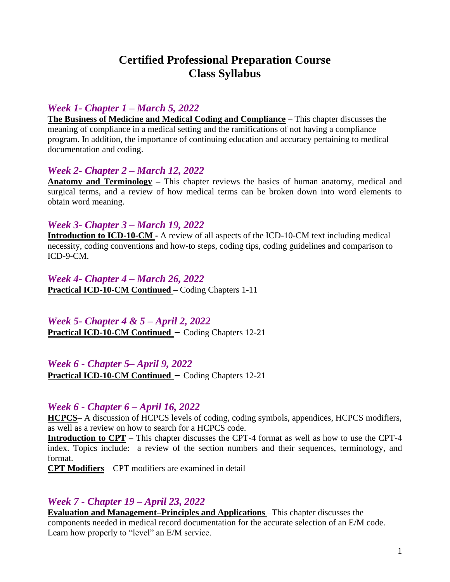# **Certified Professional Preparation Course Class Syllabus**

# *Week 1- Chapter 1 – March 5, 2022*

**The Business of Medicine and Medical Coding and Compliance –** This chapter discusses the meaning of compliance in a medical setting and the ramifications of not having a compliance program. In addition, the importance of continuing education and accuracy pertaining to medical documentation and coding.

#### *Week 2- Chapter 2 – March 12, 2022*

**Anatomy and Terminology –** This chapter reviews the basics of human anatomy, medical and surgical terms, and a review of how medical terms can be broken down into word elements to obtain word meaning.

#### *Week 3- Chapter 3 – March 19, 2022*

**Introduction to ICD-10-CM -** A review of all aspects of the ICD-10-CM text including medical necessity, coding conventions and how-to steps, coding tips, coding guidelines and comparison to ICD-9-CM.

*Week 4- Chapter 4 – March 26, 2022* **Practical ICD-10-CM Continued –** Coding Chapters 1-11

# *Week 5- Chapter 4 & 5 – April 2, 2022*

**Practical ICD-10-CM Continued –** Coding Chapters 12-21

*Week 6 - Chapter 5– April 9, 2022* **Practical ICD-10-CM Continued –** Coding Chapters 12-21

# *Week 6 - Chapter 6 – April 16, 2022*

**HCPCS**– A discussion of HCPCS levels of coding, coding symbols, appendices, HCPCS modifiers, as well as a review on how to search for a HCPCS code.

**Introduction to CPT** – This chapter discusses the CPT-4 format as well as how to use the CPT-4 index. Topics include: a review of the section numbers and their sequences, terminology, and format.

**CPT Modifiers** – CPT modifiers are examined in detail

# *Week 7 - Chapter 19 – April 23, 2022*

**Evaluation and Management–Principles and Applications** –This chapter discusses the components needed in medical record documentation for the accurate selection of an E/M code. Learn how properly to "level" an E/M service.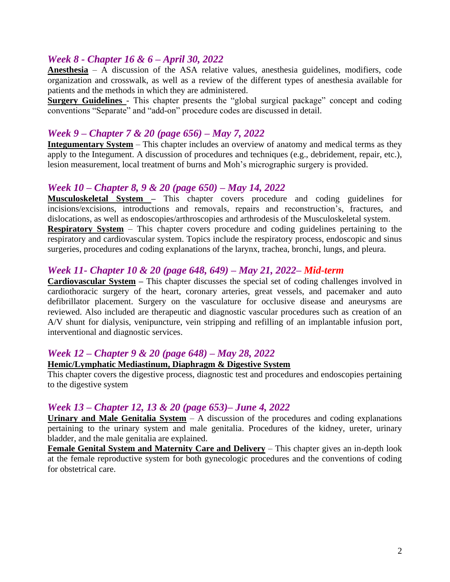#### *Week 8 - Chapter 16 & 6 – April 30, 2022*

**Anesthesia** – A discussion of the ASA relative values, anesthesia guidelines, modifiers, code organization and crosswalk, as well as a review of the different types of anesthesia available for patients and the methods in which they are administered.

**Surgery Guidelines** - This chapter presents the "global surgical package" concept and coding conventions "Separate" and "add-on" procedure codes are discussed in detail.

#### *Week 9 – Chapter 7 & 20 (page 656) – May 7, 2022*

**Integumentary System** – This chapter includes an overview of anatomy and medical terms as they apply to the Integument. A discussion of procedures and techniques (e.g., debridement, repair, etc.), lesion measurement, local treatment of burns and Moh's micrographic surgery is provided.

#### *Week 10 – Chapter 8, 9 & 20 (page 650) – May 14, 2022*

**Musculoskeletal System –** This chapter covers procedure and coding guidelines for incisions/excisions, introductions and removals, repairs and reconstruction's, fractures, and dislocations, as well as endoscopies/arthroscopies and arthrodesis of the Musculoskeletal system.

**Respiratory System** – This chapter covers procedure and coding guidelines pertaining to the respiratory and cardiovascular system. Topics include the respiratory process, endoscopic and sinus surgeries, procedures and coding explanations of the larynx, trachea, bronchi, lungs, and pleura.

#### *Week 11- Chapter 10 & 20 (page 648, 649) – May 21, 2022– Mid-term*

**Cardiovascular System – This chapter discusses the special set of coding challenges involved in** cardiothoracic surgery of the heart, coronary arteries, great vessels, and pacemaker and auto defibrillator placement. Surgery on the vasculature for occlusive disease and aneurysms are reviewed. Also included are therapeutic and diagnostic vascular procedures such as creation of an A/V shunt for dialysis, venipuncture, vein stripping and refilling of an implantable infusion port, interventional and diagnostic services.

#### *Week 12 – Chapter 9 & 20 (page 648) – May 28, 2022*

#### **Hemic/Lymphatic Mediastinum, Diaphragm & Digestive System**

This chapter covers the digestive process, diagnostic test and procedures and endoscopies pertaining to the digestive system

#### *Week 13 – Chapter 12, 13 & 20 (page 653)– June 4, 2022*

**Urinary and Male Genitalia System** – A discussion of the procedures and coding explanations pertaining to the urinary system and male genitalia. Procedures of the kidney, ureter, urinary bladder, and the male genitalia are explained.

**Female Genital System and Maternity Care and Delivery** – This chapter gives an in-depth look at the female reproductive system for both gynecologic procedures and the conventions of coding for obstetrical care.